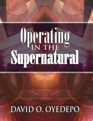# **Operating<br>Supernatural**

# DAVID O. OYEDEPO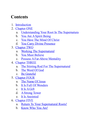# **Contents**

- 1. [Introduction](#page-4-0)
- 2. [Chapter](#page-6-0) ONE
	- a. [Understanding](#page-6-1) Your Root In The Supernatura
	- b. You Are A Spirit Being
	- c. You Have The Mind Of [Christ](#page-9-0)
	- d. You Carry Divine [Presence](#page-13-0)
- 3. [Chapter](#page-16-0) TWO
	- a. Working The [Supernatural](#page-16-1)
	- b. You Must [Believe](#page-17-0)
	- c. Possess A Far-Above Mentality
- 4. [Chapter](#page-20-0) THREE
	- a. The Stirring Rod For The [Supernatural](#page-21-0)
	- b. The [Word](#page-21-1) Of God
	- c. Be [Grateful](#page-28-0)
- 5. [Chapter](#page-30-0) FOUR
	- a. The [Name](#page-30-1) Of Jesus
	- b. It Is Full Of [Wonders](#page-32-0)
	- c. It Is [AGift](#page-33-0)
	- d. [AStrong](#page-35-0) Tower
	- e. It Is [Anointed](#page-36-0)
- 6. [Chapter](#page-39-0) FIVE
	- a. Return To Your [Supernatural](#page-39-1) Roots!
	- b. [Know](#page-40-0) Who You Are!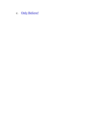c. Only Belie[ve!](#page-45-0)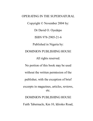OPERATING IN THE SUPERNATURAL Copyright © November 2004 by: Dr David O. Oyedepo ISBN 978-2905-21-6 Published in Nigeria by: DOMINION PUBLISHING HOUSE All rights reserved. No portion of this book may be used without the written permission of the publisher, with the exception of brief excerpts in magazines, articles, reviews, etc. DOMINION PUBLISHING HOUSE Faith Tabernacle, Km 10, Idiroko Road,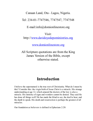#### Canaan Land, Ota - Lagos, Nigeria.

Tel: 234-01-7747546, 7747547, 7747548

E-mail:info@domionlinestore.org

#### Visit:

http://www.davidoyedepoministries.org

www.domionlinestore.org

All Scripture quotations are from the King James Version of the Bible, except otherwise stated.

#### **Introduction**

<span id="page-4-0"></span>I believe the supernatural is the true root of Christianity. What do I mean by this? Consider this: the virgin birth of Jesus Christ is a miracle. His strange understanding at age 12, which amazed the doctors of the law is also a miracle. His ministry of signs and wonders cannot be denied. They said He has done all things well! He has made the blind to see, the deaf to hear, and the dumb to speak. His death and resurrection is perhaps the greatest of all miracles.

Our foundation as believers is defined in Ephesians 2:20: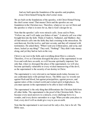And are built upon the foundation of the apostles and prophets, Jesus Christ himself being the chief corner stone.

We are built on the foundations of the apostles, with Christ Himself being the chief corner stone! That means Christ and the apostles are our foundation in the Christian race. Therefore, whatever we see in Christ and the apostles is what is in store for us, that is God's design for us.

Note that the apostles' calls were miracle calls. Jesus said to Peter, "Follow me, and I will make you fishers of men." A miracle call was what brought him into the faith. Think of Andrew, Nathaniel, and Matthew; they all had miracle calls into the faith; they had a training in the miraculous. He sent them out, first the twelve, and later seventy, and they all returned with testimonies. He asked them, "When I sent you without purse, and scrip, and shoes, lacked ye any thing?" They said, "Nothing!" They didn't take money along, and yet they had no lack on the way.

Christ is our root in the faith; and everything about Him is a miracle. Therefore, if we as Christians disregard the place of the supernatural in our lives and walk here on earth, we will become spiritually impotent. Not only that, when we disregard the place of the supernatural, we will also become spiritually vulnerable to every wicked manoeuvring of the devil, as the supernatural is the security of our destiny in Christ.

The supernatural is very relevant to our human needs today, because we are confronted daily with spiritual forces. The Bible says we wrestle not against flesh and blood, but against principalities, against powers, and against rulers of this wicked world and wicked spirit in high places. So, you must operate in the supernatural to be able to deal with them.

The supernatural is the only thing that differentiates the Christian faith from all other faiths. The supernatural is the proof of the Christian faith. This is because every need answers to a miracle, every challenge bows to a wonder, and every desire surrenders to a sign. When you take your place in God, every devil will no doubt give way to you on earth.

Note that the supernatural is not reserved for only a few, but is for all. The Bible says,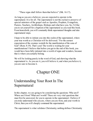"These signs shall follow them that believe" (Mk. 16:17).

As long as you are a believer, you are expected to operate in the supernatural. It is for all. The supernatural is not the exclusive preserve of special ministers of the gospel such as Apostles, Prophets, Evangelists, Pastors, Teachers, Archbishops, Bishops and what have you. So, I'd like you to set yourself for a baptism of the supernatural as you read this book. From henceforth, you will constantly think supernatural thoughts and take supernatural steps.

I hope to be able to initiate you into this realm of the supernatural, where your true worth as a Christian will be delivered. "For the earnest expectation of the creature waiteth for the manifestation of the sons of God" (Rom. 8:19). That's you! The world is waiting for your manifestations! I believe that before you get to the end of this book, you would have been fully initiated into a world of signs and wonders, because that is where you actually belong.

We will be looking purely in the word of God, and showing what the supernatural is. As you see it, you will believe it, and when you believe it, you are sure to become it.

# Chapter ONE

#### <span id="page-6-1"></span><span id="page-6-0"></span>Understanding Your Root In The Supernatural

In this chapter, we are going to be considering the questions: Who am I? Where am I from? What am I worth? These are very vital questions that must first be answered, for you to operate in the supernatural. I believe if you truly understand who you are, where you are from, and your worth in Christ, then you will cheaply command the supernatural.

The supernatural is what validates Christianity; nothing defines Christianity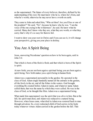as the supernatural. The future of every believer, therefore, defined by his understanding of his root. He must know who he is, where he's from, and what he's worth, otherwise he may never have a worth on earth.

They came to John and asked him, "Who art thou? Are you Elias or one of the prophets?" He said, "No", because he knew who he was. "I am the voice of the one crying in the wilderness", he said. He knew what he carried. Many don't know who they are, what they are worth, or what they carry; that's why it's so easy for them to fail.

I want to show you your root in Christ; and if you can see it, it will change your perspective, giving you your place in destiny.

#### <span id="page-7-0"></span>You Are A Spirit Being

Jesus, answering Nicodemus' question on how to be born again, said in John 3:6:

That which is born of the flesh is flesh; and that which is born of the Spirit is spirit.

At new birth, you are not born again a spiritual being; you are born again a spirit being. New birth makes you a spirit being in human flesh.

Adam was a supernatural personality in the garden. He operated in the class of God. Adam single-handedly named all the animals in the garden, all the fowls in the air, and all the fishes in the waters. God brought everything He created before Adam to name, and whatever name Adam called them, that was the name by which they were called. He was in the class of God, so he thought like Him. Adam was a supernatural being.

What made him supernatural was the spirit that was alive in him. But at the fall, his spirit-man died, and Adam was reduced to a natural being. However, when Jesus came, what died in Adam was restored back to man through salvation. So, every redeemed child of God carries in his body today whatever virtues Adam carried in the garden before the fall. That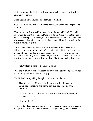which is born of the flesh is flesh, and that which is born of the Spirit is spirit, not spiritual.

Jesus again tells us in John 4:24 that God is a Spirit.

God is a Spirit: and they that worship him must worship him in spirit and in truth.

That means new birth enables you to share divinity with God. That which is born of the Spirit is spirit, and God is a Spirit! Adam was in the class of God when his spirit-man was yet alive. He shared divinity with God. God always came down in the cool of the day to have fellowship with him; they were in council together.

You need to understand that new birth is not merely an adjustment of lifestyle. New birth is a miracle of recreation. New birth is a regeneration, a restoration of your human dignity under God. It is restoring dominion back to mankind. If you understand this, you will throw sickness, disease, and frustrations away. You will shake them all off you, casting them into the fire.

"That which is born of the Spirit is spirit."

Who are you? If you are born again, then you are a spirit being inhabiting a human body. What then does this imply?

The Holy Ghost speaking through Isaiah prophesied thus:

Therefore the Lord himself shall give you a sign; Behold, a virgin shall conceive, and bear a son, and shall call his name Immanuel.

Butter and honey shall he eat, that he may know to refuse the evil, and choose the good.

- Isaiah 7:14-15

In a world of dead men and women, when you are born again, you become a sign among men. Redemption makes you a spirit being, which makes you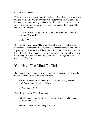a living sign among men.

Who am I? You are a spirit operating in human flesh. But if you don't know this and walk in its reality, or when you disregard the supernatural, you become vulnerable to every wicked act of the devil. Jesus knew who He was so much so that He became the greatest headache of the enemy. He said to the Pharisees:

…Ye are from beneath; I am from above: ye are of this world; I am not of this world.

- John 8:23

Hear what the word says, "The wind bloweth where it listeth, and thou hearest the sound thereof, but canst not tell whence it cometh, and whither it goeth: so is every one that is born of the Spirit" (Jn. 3:8). When you are born of the Spirit you become a sign among men. They can't tell where you are coming from, but they can't deny your effect. That's going to be your experience from now.

#### <span id="page-9-0"></span>You Have The Mind Of Christ

By this new spirit quickened in you at salvation, according to the word of God, you also now have the mind of Christ.

For who hath known the mind of the Lord, that he may instruct him? But we have the mind of Christ.

- 1 Corinthians 2:16

What does this mean? The Bible says:

In the beginning was the Word, and the Word was with God, and the Word was God.

The same was in the beginning with God.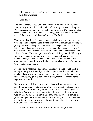All things were made by him; and without him was not any thing made that was made.

 $-$  John 1:1-3

That same word is called Christ; and the Bible says you have His mind. That means you have the creative mind of Christ by reason of redemption. When the earth was without form and void, the mind of Christ came on the scene, and now we talk about the earth being the Lord's and the fullness thereof, the world and all that dwell therein (Ps. 24:1).

That means, therefore, that by the creative wisdom of God at work in you, your life can no longer be void. By the creative wisdom of God working in you by reason of redemption, darkness can no longer cover your life. Your life can never become empty again by reason of the creative wisdom of God deposited in you at salvation. That wisdom created the earth and the fullness thereof. Therefore, you cannot be stranded any more in life, as you will always know what to do in any given situation. Since you carry the mind of Christ, that is the Creator's mind, you will always know what to do to provoke a miracle; you will always know what steps to take to move God to act on your behalf.

I'll like you to understand that I'm not talking about intellectualism; I'm talking about spiritual intelligence, about supernatural insight. With the mind of Christ at work in you, you will be operating at God's frequency in approaching every given situation in your life, thereby commanding the supernatural at will.

By virtue of new birth you are a spirit being dwelling in a human body. Also by virtue of new birth, you have the creative mind of Christ. There was a spiritual transplant of your mind. Christ's mind replaced yours at salvation. And when the earth was without form and void, the wisdom of God created all that God desired. The same way, the wisdom of God in you should go to work to create whatever is missing in your life. See how this brother in testimony below put the creative mind of Christ in him to work, to avert shame and failure.

*"I want to thank God for what He did in my life after last*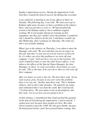*Sunday's impartation service. During the impartation I told God that I wanted the kind of success the Bishop has recorded.*

*I was called for a meeting at one of our of ices at Ikoyi on Tuesday. The following day, I was told, 'We want you to go to Kaduna right away, because we have a problem at the refinery there, and you just have to solve it.' We had installed the system at the Kaduna refinery, but it suddenly stopped working. We'd sent people abroad on training on this equipment, but they just couldn't solve the problem. I wondered why I should be called to do the job. I told them I couldn't go that Wednesday, that I would go on Thursday. The truth was that I was actually shaking.*

*When I got to the refinery on Thursday, I was taken to meet the Manager, who said, 'We were told that you are an expert on this job, that they've sent you on several courses on this job. So, it's either you solve this problem or we write of your company.' I said, 'God can do it. Let's go to the location.' He said I would first have to tour the other bosses of ices. I was taken to the of ices of the Special Depot Manager, the Area Manager; in short, we went everywhere. Everywhere we went, he said, 'This is the man. If he can't do it, then we will write of their company.'*

*After two hours we went to the site. The boss there said, 'If you want to pray, pray, because if you can't solve this problem there is no way out.' Another man there said, 'This is Kaduna refinery, and we don't take mistakes.' He asked for my name, and commented that I was from the south. But I told myself, 'I'm from above.' We were about seven on the platform, and they said, 'Let us see how you are going to do it.'*

*At that instance, I remembered that I had touched the garment of the man of God during the impartation. I said to myself, 'I cannot pray now because these people are here. But when Christ wanted to feed the 5,000, He only gave thanks, because He had prayed earlier, and I have prayed before coming. Also*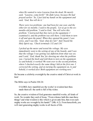*when He wanted to raise Lazarus from the dead, He merely said, "Lazarus, come forth!" He didn't pray, because He had prayed earlier.' So, I just laid my hands on the equipment and said, 'God, You will do it.'*

*There were two problems: one had been for one year, and the other for six months. I said to the people, 'Let us go to the sixmonths-old problem.' I said to God, 'You will solve this problem.' I instructed that they turn on the equipment. I examined it, and the problem was still there. I told them to turn it of and open the panel. When they opened the panel, I saw wires, and I was like, 'God, what do I do?' And I heard the Holy Spirit say, 'Check terminals 132 and 134.'*

*I picked up the meter and tested the voltage. My eyes immediately went to the setting of one of the boards, and I saw that the voltage I was getting was dif erent from what was set, and I said, 'God, thank You' for showing me what the problem was. I turned the knob and told them to turn on the equipment. Lo and behold, it worked! We went over to the second problem, where I checked exactly the same thing I did at the first one. I corrected the setting, and on turning the equipment on, lo and behold, it worked also! Both equipment are working now."*

He became a celebrity overnight by the creative mind of Christ at work in him!

The Bible says in Psalm 104:24:

O LORD, how manifold are thy works! in wisdom hast thou made them all: the earth is full of thy riches.

So, the creative wisdom of God generates manifold works, all kinds of work. No wonder they said of Jesus, "From whence hath this man these things? and what wisdom is this which is given unto him, that even such mighty works are wrought by his hands?" (Mk. 6:2). From henceforth, you will start generating mighty works in all facets of life.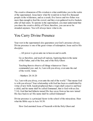The creative dimension of His wisdom is what establishes you in the realm of the supernatural. Jesus knew what He would do to feed five thousand people in the wilderness, and as a result, five loaves and two fishes was more than enough to feed the crowd, and they even gathered twelve baskets after all had eaten. To operate in the supernatural, you must understand that you share the creative ability of Christ; therefore, you can never be stranded anymore. You will always know what to do.

#### <span id="page-13-0"></span>You Carry Divine Presence

Your root in the supernatural also guarantees you God's presence always. Divine presence is one of the great virtues of redemption. Jesus said to His disciples:

…All power is given unto me in heaven and in earth.

Go ye therefore, and teach all nations, baptizing them in the name of the Father, and of the Son, and of the Holy Ghost:

Teaching them to observe all things whatsoever I have commanded you: and, lo, I am with you alway, even unto the end of the world. Amen.

- Matthew 28:18-20

"Lo, I am with you alway, even unto the end of the world." That means God is with you always! Your relationship with God has been re-established by virtue of new birth. Isaiah prophesied that a virgin shall conceive and bear a child, and his name shall be called Emmanuel, that is God with us (Isa. 7:14). God that had hitherto turned His face away from us has now turned His face back to us! His name shall be called Emmanuel!

Divine presence is a principal factor in the school of the miraculous. Hear what the Bible says in Acts 10:38:

How God anointed Jesus of Nazareth with the Holy Ghost and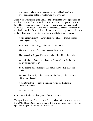with power: who went about doing good, and healing all that were oppressed of the devil; for God was with him.

Jesus went about doing good and healing all them that were oppressed of the devil because God was with Him. So, the new birth qualifies you to have God as your companion. "I am with you always, even unto the close of the age." And if God is with you, the miraculous becomes the order of the day in your life. Israel enjoyed divine presence throughout their journey in the wilderness, no wonder no obstacle could stand before them.

When Israel went out of Egypt, the house of Jacob from a people of strange language;

Judah was his sanctuary, and Israel his dominion.

The sea saw it, and fled: Jordan was driven back.

The mountains skipped like rams, and the little hills like lambs.

What ailed thee, O thou sea, that thou fleddest? thou Jordan, that thou wast driven back?

Ye mountains, that ye skipped like rams; and ye little hills, like lambs?

Tremble, thou earth, at the presence of the Lord, at the presence of the God of Jacob;

Which turned the rock into a standing water, the flint into a fountain of waters.

- Psalm 114:1-8

Obstacles will always disappear at God's presence.

The apostles went forth and preached everywhere, God also working with them (Mk. 16:20). God was working with them, confirming the words they spoke with signs following. God was there!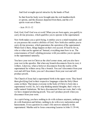And God wrought special miracles by the hands of Paul:

So that from his body were brought unto the sick handkerchiefs or aprons, and the diseases departed from them, and the evil spirits went out of them.

- Acts 19:11-12

God, God, God! God was at work! When you are born again, you qualify to carry divine presence, which qualifies you to operate in the supernatural.

New birth makes you a spirit being, it entitles you to a mind transplant, and so you possess the creative abilities of God. New birth also entitles you to carry divine presence, which guarantees the operation of the supernatural. When God is there, things happen on their own accord. If God be for us, who or what can be against us? Instead, everything must bow to us. The consciousness of God's abiding presence with you entitles you to operate in the supernatural naturally.

You have your root in Christ as the chief corner stone, and you also have your root in the apostles. But when any branch disconnects from its root, it withers. Likewise, when a believer disconnects from the reality of the supernatural he withers away like a branch. You can't disconnect from your root and still bear fruits; you can't disconnect from your root and still produce proofs.

The Church of Jesus had a supernatural birth in the upper room. They heard them glorifying God in their respective languages when the Holy Ghost came on them. That means everyone in the body of Christ is born into a supernatural world. So, let's stop thinking natural thoughts, that's why we suffer natural limitations. We have disconnected from our roots, that's why we have stopped producing proofs. You can't produce proofs when you disconnect from your roots.

As a spirit being, you have nothing to do with sickness anymore, nothing to do with frustration and failure, nothing to do with every molestation and harassments. Every question in a man's life answers naturally to the supernatural. Martha said to Jesus concerning Lazarus in John 11:39-44,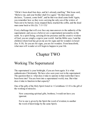"Oh he's been dead four days, and he's already smelling." But Jesus said, "Believe me, and your brother shall live again." He then turns and declares, "Lazarus, come forth", and he that was dead came forth! Again, you remember how as they were carrying the only son of the widow of Nain out to be buried, Jesus stopped them, touched the coffin, and the dead man came back to life (Lk. 7:11-15)!

Every challenge that will ever face any man answers to the authority of the supernatural, and you as a believer are a supernatural personality on the earth. As a spirit being, carrying divine presence and the creative wisdom of God, you are simply a sign to your world. And the Bible says, I and the children whom God has given me are for signs and for wonders in Israel (Isa. 8:18). So you are for signs, you are for wonders. From henceforth, what men will wonder at will begin to happen in your life.

# Chapter TWO

#### <span id="page-16-1"></span><span id="page-16-0"></span>Working The Supernatural

The supernatural is your birthright, if you are born again. It is what authenticates Christianity. We have also seen your root in the supernatural. The question then is: what does it take to operate in that realm that I have been born into? You are born into a supernatural world, true. But what does it take to function in that capacity?

One of the gifts of the Holy Spirit listed in 1 Corinthians 12:10 is the gift of the working of miracles.

Now concerning spiritual gifts, brethren, I would not have you ignorant.

For to one is given by the Spirit the word of wisdom; to another the word of knowledge by the same Spirit;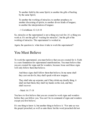To another faith by the same Spirit; to another the gifts of healing by the same Spirit;

To another the working of miracles; to another prophecy; to another discerning of spirits; to another divers kinds of tongues; to another the interpretation of tongues:

- 1 Corinthians 12:1,8-10

So, miracles or the supernatural is not a thing you wait for; it's a thing you work at. It's not the gift of "waiting for miracles", but the gift of the working of miracles. The supernatural is worked at.

Again, the question is: what does it take to work the supernatural?

#### <span id="page-17-0"></span>You Must Believe

To work the supernatural, you must believe that you are created for it. Faith is a sure foundation for supernatural manifestations. You must believe that you are created for signs and for wonders, because Jesus said these signs will only follow them that believe.

And these signs shall follow them that believe; In my name shall they cast out devils; they shall speak with new tongues;

They shall take up serpents; and if they drink any deadly thing, it shall not hurt them; they shall lay hands on the sick, and they shall recover.

- Mark 16:17-18

You have to first believe that you are created to work signs and wonders before they can follow you. You can't be in command of signs and wonders except you first believe.

It's one thing to know it, but another thing to believe it. "For unto us was the gospel preached, as well as unto them: but the word preached did not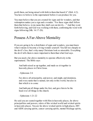profit them, not being mixed with faith in them that heard it" (Heb. 4:2). You have to believe in the supernatural before it can produce for you.

You must believe that you are created for signs and for wonders, and that redemption makes you a sign and a wonder. "For these signs shall follow them that believe, in my name they shall cast out devils…" And they went forth believing, and God was working with them, confirming the word with signs following (Mk. 16:17-20).

#### <span id="page-18-0"></span>Possess A Far-Above Mentality

If you are going to be a distributor of signs and wonders, you must know what it means to become a living wonder yourself. You fall too cheaply to the devil's lies, that's why many Christians look so miserable. Everything the devil tells them is more important to them than what God says.

But you need a far-above mentality to operate effectively in the supernatural. The Bible says:

And hath raised us up together, and made us sit together in heavenly places in Christ Jesus.

- Ephesians 2:6

Far above all principality, and power, and might, and dominion, and every name that is named, not only in this world, but also in that which is to come:

And hath put all things under his feet, and gave him to be the head over all things to the church.

- Ephesians 1:21-22

He said you are seated together with Him in heavenly places, far above principalities and powers, rulers of this wicked world and wicked spirits in heavenly places. You are far above wicked spirits in high places, HIV and AIDS carrying spirits, cancer carrying spirits, mental blockage spirits,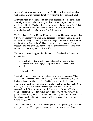spirits of confusion, suicide spirits, etc. Oh, He's made us to sit together with Him in heavenly places, far above where the devil can reach you!

Every sickness, by biblical definition, is an oppression of the devil. That was why Jesus went about healing all them that were oppressed of the devil (Acts 10:38). You have listened too much to the scientific "fact" that mosquito bit is what has given you malaria. If everybody bitten by mosquito has malaria, who then will be left in town?

You have been redeemed by the blood of the Lamb. The same mosquito that bit you, bit a sinner who lives in the kingdom of darkness, and he doesn't have malaria. Why is it then you that is born again, redeemed by the blood, that is suffering from malaria? That means it's an oppression. It's not mosquito that has given you malaria, but the devil that is oppressing your health, so as to make you a victim of life.

Every time science is opposed to the truth, it is falsehood, and you must declare it as such.

O Timothy, keep that which is committed to thy trust, avoiding profane and vain babblings, and oppositions of science falsely so called:

- 1 Timothy 6:20

The truth is that He took your infirmities; He bore you sicknesses (Matt. 8:17). That is the truth! And if science says there is an infirmity in your body that becomes falsehood. Let God be true and all devils liars. Therefore comfort ye, comfort ye my people, speak comfortably unto Zion, and say to her that her warfare is accomplished. You warfare is accomplished! Your own case is settled; now, go on behalf of Christ and begin to settle the cases for others! Say to the devil, "Satan you have no place in my life anymore. I have been redeemed by the blood of the Lamb. I have been translated into the kingdom of His own dear Son, far above where are you now!"

This far-above mentality is a powerful qualifier for operating effectively in the supernatural. Where you are Satan can't come. You are far above!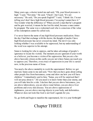Many years ago, a doctor tested me and said, "Oh, your blood pressure is high." I said, "Not mine." He said, "Check", but I said, "It's not necessary." He said, "Do you speak English?" I said, "I think I do. I'm not telling you I don't have high blood pressure; I'm saying I cannot have it." You wonder what the difference is? When you tell a man that he's pregnant and he gets worried, it means he has lost his mind, because a man cannot be pregnant. The same way a redeemed soul who is conscious of the value of his redemption cannot be called sick.

I've never known the name of any high blood pressure medication. Since the day I had that exchange with the doctor, the thought of maybe I have high blood pressure has never crossed my mind. The devil was only looking whether I was available to be oppressed, but my understanding of the word was superior to his attempt.

Satan is looking for who to oppress, and he takes advantage of people's ignorance to locate his victims. The moment you are ignorant of your worth as a believer, you become a victim of his oppression. But you are a farabove heavenly citizen on this earth; you are not where Satan can reach you to oppress you. Therefore, every trace of oppression in your life is cursed now, in the precious name of Jesus.

You need a far-above mentality to work the supernatural. Before we got married, Satan came to me and said, "Now that you have gone about setting other people free from barrenness, come and show me how you will have children." I immediately said to him, "Satan, you will be surprised that I will not pray about it." All you need is to know better than your enemy, and you will take him for a ride. I declare that you are above barrenness, you are above tuberculosis, you are above renal failure, you are above liver problems and every skin disease. You are above oppressions of nightmares, you are above moving objects in your body, and deformities. Whatever does not look like God is not God's agenda for you.

<span id="page-20-0"></span>So, go forth and begin to manifest the supernatural, for it is your birthright!

# Chapter THREE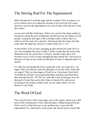#### <span id="page-21-0"></span>The Stirring Rod For The Supernatural

With what then do I work the signs and the wonders? Now you know it is to be worked, not to be waited for; because if you wait you will waste. You don't wait for the supernatural; you work it! But, with what do I work this works?

Let me start with this illustration. There was a pool at the sheep market in Jerusalem, called the pool of Bethesda. By this pool lay all manner of sick people, waiting for the angel of the Lord that comes in there once in a while to stir the water for a miracle. And anyone that first steps into that water after the angel has stirred it is made whole (Jn. 5:1-4).

At new birth a well of water springing up unto eternal life came alive in you. You remember the story in John 4, of the woman that met Jesus at the Samaritan well. He said to her, I will give you this water and it will become in you a well of water springing up unto eternal life. You received that pool of water at new birth, but that pool of water is impotent until it is stirred.

It is after the stirring that the forces inside the water can come alive. An angel of the Lord always came into that place to stir the water. And what are angels? They are messengers of God for us. I also know from God's word that He sent His word, and healed them, and delivered them from their destructions (Ps. 107:20). So, when the word of God goes in to stir that pool of water that carries the virtues of eternal life, and you act according to the dictates of that word, you are made whole of every disease in your body.

#### <span id="page-21-1"></span>The Word Of God

The word of God is God's messenger, just as His angels. Inside you is that pool of life; but that pool of life cannot produce without being stirred up. God's word is what God uses to stir up that water, to provoke the supernatural. So, when God's word comes, the miracle power inside that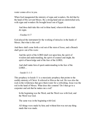water comes alive in you.

When God inaugurated the ministry of signs and wonders, He did that by the hand of His servant Moses. By a strong hand and an outstretched arm, with signs and wonders He brought Israel out of Egypt.

And thou shalt take this rod in thine hand, wherewith thou shalt do signs.

- Exodus 4:17

God placed the instrument for the working of miracles in the hands of Moses. But what is this rod?

And there shall come forth a rod out of the stem of Jesse, and a Branch shall grow out of his roots:

And the spirit of the LORD shall rest upon him, the spirit of wisdom and understanding, the spirit of counsel and might, the spirit of knowledge and of the fear of the LORD;

And shall make him of quick understanding in the fear of the LORD…

- Isaiah 11:1-3

This prophecy in Isaiah 11 is a messianic prophecy that points to the earthly ministry of Christ. It referred to Him as the rod. He was also the rock in the wilderness that gave them water for a refreshing. Jesus was the rod in the hand of Moses. What does this connote? Do I then go to a carpenter and ask that he makes me a rod?

In the beginning was the Word, and the Word was with God, and the Word was God.

The same was in the beginning with God.

All things were made by him; and without him was not any thing made that was made.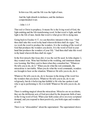In him was life; and the life was the light of men.

And the light shineth in darkness; and the darkness comprehended it not.

- John 1:1-5

That rod is Christ in prophecy. It means He is the living word of God, the light emitting and the life-transforming word. In that word is light, and that light is the life of men. Inside that word is what gives life to dying men.

Going back to Exodus 4:17, we can therefore interpret it this way: "And thou shall take this word in thy hand wherewith thou shall do signs." So, we work the word to produce the wonders. It is the working of the word of God that produces the wonders you desire. It is the word of God in your hand that produces the wonders of your life. "And thou shall take this word in thy hand wherewith thou shall do signs."

In the first miracle that Jesus did, it was the rod He used. In John chapter 2, they wanted wine. Wine had finished at the wedding, and imminent shame was looming. But Mary said to them when they consulted her, "Whatever He tells you to do, do it." When you do what the rod commands, the miraculous is inevitable. When you do what the word commands, wonders are brought to bear on the situation. Whatever He tells you to do, do it.

Whatever He tells you to do, do it, because in the doing of the word lies the wonders that you desire. Whatever He tells you to do, do it; not religiously, but do it believing that faithful is He who has spoken it and who is up to performing it. Do it in faith! Whatever He tells you to do, do it!

There is nothing magical about the miraculous. Miracles are no accidents; they are the deliberate acts of God provoked by the desperate faith of men in the living word of God. When your faith comes alive on every scriptural demand, and you respond to them positively, you birth signs and wonders at will.

There is no "abracadabra" about the supernatural. The supernatural draws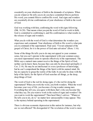essentially on your obedience of faith to the demands of scriptures. When you do whatever He tells you to do you have committed Him to perform His word; you commit Him to confirm His word. And signs and wonders are essentially divine confirmations of your obedience of faith to the word of God.

God was working with him, confirming the word with signs following (Mk. 16:20). That means when you put the word of God to work in faith, God is committed to confirming it, and His confirmation is what results in the release of signs and wonders.

What you do with the word of God is what determines the wonders you experience and command. Your obedience of faith to His word is what puts you in command of the supernatural. Paul said, "I'm not ashamed of the gospel of Christ, for it is the power of God unto salvation" (Rom. 1:16).

Some of the things He tells you to do may not appeal to your common sense, but you can't operate in the supernatural with your common sense; you need supernatural sense to operate effectively in the supernatural. The Bible says a natural man cannot receive the things of the Spirit of God, neither can he know them, because they can only be discerned spiritually (1 Cor. 2:14). He may be an intellectual or even a professor of knowledge, but he can't comprehend the things of the Spirit with his natural mind. He has no capacity to grasp the reality of the truth. It can only be done with the help of the Spirit, for the Spirit of God searches all things, ye the deep, deep things of God.

The word of God is the rod for doing signs; it's the rod for doing the supernatural! When you work the word, you birth wonders. When the word becomes your way of life, you become a living wonder among men. Everything they tell you, you agree with them; that's why you become like what they say. Do you want to work in the realm of signs and wonders? Do you want to work the supernatural? Then heed Mary's advice: "Whatever He tells you to do, do it," no matter how unreasonable it may appear. This is the mystery behind operating in the supernatural.

There is obvious economic depression in this nation for instance, but why are we not affected? We disregarded it! The revelation of the word is more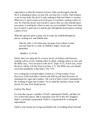important to us than the situation in town. Until you disregard what the devil is planning to place on your life, you may die a victim. That sickness is not in your body; the devil is only seeking to find out if there is vacancy. When an evil spirit comes to town he goes everywhere, seeking a place to rest. So when the doctor says you have cancer, they are only announcing to you cancer is looking for where to stay, are you available? Jesus said when an evil spirit is gone out of a man he goes through the desert places seeking a place of rest.

When the unclean spirit is gone out of a man, he walketh through dry places, seeking rest, and findeth none.

Then he saith, I will return into my house from whence I came out; and when he is come, he findeth it empty, swept, and garnished.

- Matthew 12:43-44

Surely, there are many devils in town, devils of sickness and diseases, seeking a place of rest, seeking where to abide, seeking a place to stay, and the Bible says, "Give no place to the devil" (Eph. 4:27). It also says, resist the devil, and he will flee from you (Jms. 4:7). The Bible says you should resist him steadfastly in the faith (1 Pet. 5:9).

It is working the word that makes a believer a living wonder. Every discovery in the book that is mixed with faith in your heart becomes an instrument for signs and wonders. The word of God is God's instrument for the working of signs and wonders. Never mind the mockers; focus on the proofs, for only fools doubt proofs.

Faith In The Word

It is true that you are a member of God's supernatural family, and that you live in heavenly places. But to maximize your life in this new kingdom, faith is a principal requirement. Faith is a requirement for working the supernatural.

Faith is your license for living a profitable life. Everything about God and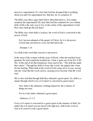heaven is supernatural. It's clear that God has designed that everything about you and I be supernatural too. But how do we actualize it?

The Bible says these signs shall follow them that believe. You cannot actualize the supernatural life style that God has ordained for you without faith. Faith is the only way to live in the reality of the supernatural world. How does faith get the job done?

The Bible says when faith is in place, the word of God is converted to the power of God.

For I am not ashamed of the gospel of Christ: for it is the power of God unto salvation to every one that believeth…

- Romans 1:16

It is faith in the word that converts it into power.

In the story of the woman with the issue of blood, when she touched Jesus' garment, He said somebody touched me, virtue is gone out of me (Lk. 8:40- 48). At the end of all that transpired, Jesus said to her, "Thy faith has made thee whole." Through her faith in Jesus (the word), she tapped into virtue for her healing. When faith in the word of God comes alive in you, you tap into the virtue that the word carries, causing you to become what the word says.

We're also told that through faith they obtained a good report. So, faith is a means through which every evil report is converted to good report.

Now faith is the substance of things hoped for, the evidence of things not seen.

For by it the elders obtained a good report.

- Hebrews 11:1-2

Every evil report is converted to a good report at the instance of faith. No matter the evil report you are faced with right now, faith in the word of God will convert it into a good report.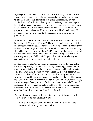A young man named Michael came down from Germany. His doctor had given him only six more days to live because he had leukemia. He decided to take the risk to come down here to Nigeria. Unfortunately, I wasn't available until after the third day. By then he had only three more days to live. On that Sunday morning, he sat in our church service, where the word of God came alive in him. He met me at the end of that service, and I prayed with him and anointed him, and he returned back to Germany. He got back having just one more day to live, according to the medical prediction.

After the first week of arriving back in Germany, when his doctor saw him, he questioned, "Are you still alive?" The second week passed, the third and the fourth weeks also. All comprehensive tests carried out showed that leukemia was no longer traceable in his blood! Michael is still alive today. He and his family were all at Shiloh 2003, six months after his supernatural healing. Faith in the word of God converted the evil report he had been given to good report! Faith is God's grand design for maximizing your supernatural status in the kingdom. Faith is all it takes!

Another man from the United States of America heard on the internet that the following Sunday was our Covenant Day of Healing, and decided to travel down with his child who had an acute case of sickle cell anaemia. This child was on medication every two hours. As a result, both husband and wife could not afford to work at the same time. They took turns working, one must be in while the other is working, so they could dispense their child's medication. This man brought his child to our church in Lagos, and sat through a Sunday service. God's power came down via His word. At the end of the service, they met me and I prayed for the child, and they returned to New York. The child was set free from then. It was a terminal case, but Jesus cleaned him out through and through!

Every evil report is convertible via faith. How does faith get the work done? The Bible says in Ephesians 6:16:

Above all, taking the shield of faith, wherewith ye shall be able to quench all the fiery darts of the wicked.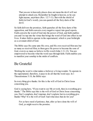That you are in heavenly places does not mean the devil will not attempt to attack you. Remember he fought in heaven, so he can fight anyone, anywhere (Rev. 12:7-11). But with the shield of faith (in God's word), you can quench all the fiery darts of the devil.

So faith delivers the promises, faith quenches all the fiery darts of the opposition, and faith converts every negative report into good reports. Faith converts the word of God into the power of God, and faith enables you and I to tap into the virtue that brings the word of God into effect in our lives. It takes faith to operate in the supernatural, which is your birthright as a covenant child of God.

The Bible says He came unto His own, and His own received Him not; but as many as received Him, to them gave He power to become the sons of God, even to as many as believe in His word (John 1:11-12). You are empowered to become what the word says through faith. Faith enables you to manifest your sonship in the midst of conflicts.

#### <span id="page-28-0"></span>Be Grateful

Working the word is what makes a believer a living wonder. To operate in the supernatural, therefore, it pays to do all that the word says. In 1 Thessalonians 5:18, the Bible says:

In every thing give thanks: for this is the will of God in Christ Jesus concerning you.

God is saying here, "If you want to see Me at work, then in everything give thanks." The Bible says this is the will of God in Christ Jesus concerning you. Don't complain, don't murmur, don't explain; but in everything give thanks! Why? It is the will of God! And what does that do for you?

For ye have need of patience, that, after ye have done the will of God, ye might receive the promise.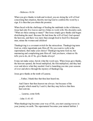- Hebrews 10:36

When you give thanks in truth and in deed, you are doing the will of God concerning that situation, thereby moving God to confirm His word by a sign. It is then that you obtain the promise.

When faced with the challenge of feeding the multitude in the wilderness, Jesus had only five loaves and two fishes to work with. His disciples said, "What are these among so many?" But Jesus simply gave thanks and began distributing the meal. Because He had done the will of God, God opened the heavens, and there was more than enough food to feed five thousand men, minus the women and children!

Thanksgiving is a covenant switch for the miraculous. Thanksgiving turns God on, while ingratitude puts Him off. Do you want to walk in the supernatural, then make your choice! Thanksgiving turns God on, but murmuring and complaining puts Him off. And you know, whatever He tells you to do, do it! So, give thanks always!

It may not make sense, but do what the word says. When Jesus gave thanks, the heavens opened, the bread multiplied, the fish multiplied, and they had over and above what they needed. God is launching you into your seasons of over and above through the mystery of thanksgiving.

Jesus gave thanks at the tomb of Lazarus.

…Father, I thank thee that thou hast heard me.

And I knew that thou hearest me always: but because of the people which stand by I said it, that they may believe that thou hast sent me.

… Lazarus, come forth.

- John 11:41-43

When thanksgiving becomes your way of life, you start causing waves in your journey on earth. The supernatural becomes your natural habitat. I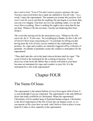have said to God, "Even if You don't answer prayers anymore, the ones You have answered before have made me indebted to You till I die." As a result, I enjoy the supernatural. The moment you assume this position, God won't wait for you to ask Him for anything, He just begins to act faster than you can ever imagine. God does not owe me anything; rather, it is me that owes Him everything. There is nothing He ought to have done that He has not done. Whatever He has not done, I am the one hindering Him from doing it.

The word (the stirring rod for the miraculous) says, "Whatever He tells you to do, do it." It also says, "In everything give thanks, for this is the will of God in Christ Jesus concerning you." It concludes by telling you that having done the will of God, you are entitled to the confirmation of the promise. So, signs and wonders are naturally triggered off by a lifestyle of gratitude. An attitude of gratitude creates the conducive atmosphere for the supernatural.

"Thou shall take this rod in thy hand wherewith thou shall do signs." The word of God is the instrument for the working of miracles. Every discovery in the book (the Bible) that is mixed with faith in your heart becomes an instrument for signs and wonders in your life. It is the instrument for a life in the supernatural!

# Chapter FOUR

#### <span id="page-30-1"></span><span id="page-30-0"></span>The Name Of Jesus

The supernatural is the natural habitat of every born again child of God. It is your birthright if you are redeemed. The supernatural is the only Biblical factor that lends credibility to Christianity. Minus the supernatural, Christianity will be another heap of frustrated human religion. Christianity is the direct importation of the life of God into our human vessel, so we can operate in His class here on earth. And I believe God to place in your hand all it takes to flow naturally in the supernatural.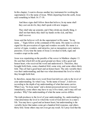In this chapter, I want to discuss another key instrument for working the supernatural. It is the name of Jesus. While departing from the earth, Jesus said something in Mark 16:17-18:

And these signs shall follow them that believe; In my name shall they cast out devils; they shall speak with new tongues;

They shall take up serpents; and if they drink any deadly thing, it shall not hurt them; they shall lay hands on the sick, and they shall recover.

Jesus said the believer will do the supernatural in His name. "In my name…" Signs follow at the command of His name. His name is a divine signal for the provocation of signs and wonders on earth. His name is a carrier of signs, wonders, and miracles, just as mosquitoes carry malaria parasites. Every time the name of Jesus is invoked in faith, signs and wonders erupt on the earth.

Jesus was expatiating on the parable of the sower in Matthew chapter 13. He said that which fell on the good ground are those with a good and honest heart, who received the word and understood it. Therefore, they brought forth fruits, some a hundred fold, some sixty, and some others thirty fold. They all had a good heart and an honest heart. The only variable there was their understanding; and that was what determined the level to which they brought forth fruit.

It, therefore, means that every word from God delivers only to the level of your understanding. So when I say, "In the name of Jesus", it delivers according to the depth of my understanding of what that name carries. When I say, "In Jesus name" and a demon possessed person is loosed immediately, some others may have to say it five times, and it may still not produce. Why? Our understanding of what the name carries differs.

The truth produces to the level of your understanding. So, understanding is what determines the level to which the word of God delivers in a man's life. You may have a good and an honest heart, but understanding is the variable factor that makes some get a hundred fold response, and others thirty fold. Some others may not even get any result. So I pray God that the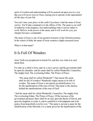spirit of wisdom and understanding will be poured out upon you in a way that you will never recover from, causing you to operate in the supernatural all the days of your life.

You can't miss your place on the earth if you know what the name of Jesus carries. You'll take command over the affairs of life. The name is our staff of authority in the kingdom. Just understanding what it carries makes it work. Believe in the power in the name, and it will work for you; you cheaply become a commander.

The name of Jesus is one of our greatest treasures in the Christian journey. In the school of faith, the name of Jesus remains a highly treasured asset.

What is in that name?

#### <span id="page-32-0"></span>It Is Full Of Wonders

Jesus' birth was prophesied in Isaiah 9:6, and this was what was said about Him:

For unto us a child is born, unto us a son is given: and the government shall be upon his shoulder: and his name shall be called Wonderful, Counsellor, The mighty God, The everlasting Father, The Prince of Peace.

"His name shall be called Wonderful"! That means His name shall be full of wonders! Wonderful simply means to be full of wonder. The name of Jesus is not merely an identification; it is for the manifestation of the sons of God. That name is the mystery behind the manifestations of the sons of God!

"And his name shall be called Wonderful, Counsellor, The mighty God, The everlasting Father, The Prince of Peace. Of the increase of his government and peace there shall be no end, upon the throne of David, and upon his kingdom, to order it, and to establish it with judgment and with justice from henceforth even for ever." The name is not just a name for the identification of the Messiah; it is a name given for the manifestation of the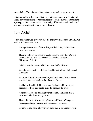sons of God. There is something in that name, and I pray you see it.

It is impossible to function effectively in the supernatural without a full grasp of what the name of Jesus represents. I want your understanding to open up, as this is what makes Christianity different from all intellectual exercise in an attempt to mold man's destiny.

#### <span id="page-33-0"></span>It Is A Gift

There is nothing God gives you that the enemy will not contend with. Paul said in 1 Corinthians 16:9:

For a great door and effectual is opened unto me, and there are many adversaries.

There are always adversaries contending the great doors God is opening for you. But I also heard the word of God say in Philippians 2:5-10:

Let this mind be in you, which was also in Christ Jesus:

Who, being in the form of God, thought it not robbery to be equal with God:

But made himself of no reputation, and took upon him the form of a servant, and was made in the likeness of men:

And being found in fashion as a man, he humbled himself, and became obedient unto death, even the death of the cross.

Wherefore God also hath highly exalted him, and given him a name which is above every name:

That at the name of Jesus every knee should bow, of things in heaven, and things in earth, and things under the earth;

He gave Him a name above every name that at the name of Jesus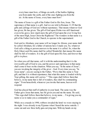every knee must bow, of things on earth, of the battles fighting you from under the earth, and of the ones fighting you from the air. At the name of Jesus, every knee must bow!

The name of Jesus is a gift of the Father God to His Son, Jesus. The supremacy of that name is a gift. And we are told in Romans 11:29 that the gifts and callings of God are without repentance. That means whatever God has given, He has given. The gift of God upon Elisha was still functional even in his grave, how much more the gift of God upon the ever living Son of the most High, Jesus Christ the Righteous? The wonders in that name is a gift of the Father God to the Church, to operate in the supernatural.

God said to Abraham, your name will no longer be Abram, your name shall be called Abraham, for a father of nations have I made you. So, whatever God calls a thing or person answers to the name it is called. So, when the Holy Ghost said His name shall be called Wonderful, that means His name shall be full of wonders. It is the gift of God upon His Son, and forever that gift is in place.

So when you call that name, call it with the understanding that it is the irrevocable gift of God to you, and the power and supremacy in that name shall come to bear on the situation. When you say, "In the name of Jesus", you are invoking the integrity of the giver - God. Every time you say, "In Jesus name", you are saying to the Father, "Prove that this name is Your gift, and that it is without repentance; that what this name is loaded with by Your gifting, this name still carries." "This signs shall follow them that believe, in my name that is full of wonders, they shall be commanding signs." From henceforth, whenever you invoke that name, heaven will respond.

God has placed that staff of authority in your hand. The same way the Father gave Jesus that name, has He given you and me the name. He said, "This sign shall follow them that believe, in my name… I'm giving you my name so as to make you a commander of signs."

While on a crusade in 1990, robbers invaded the hotel we were staying in the night. I was already in my Pyjamas when I heard the noise outside. I came out and saw three hefty gun-carrying men. With my hands on my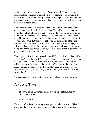waist, I said, "In the name of Jesus..." and they fled! Three hefty men fleeing before a man just waking from sleep, because of the power in the name of Jesus! You have been given that name. Begin to use it with the full understanding of what it carries, and there will be no more molestation on your way, in Jesus' name.

Some robbers invaded a home in Lagos, where they were playing one of our teaching tapes in which I was teaching. The robbers had raided the other flats in the building, and had brought all they had carted away down to this flat. But the head of the gang was arrested by my message on the tape. He removed his mask, and asked the people he had earlier told to lie down, "Can I have that tape?" He collected the tape and told the other robbers not to take anything from the flat. As if that was not enough, the following day, the head of the robbery gang came back as a normal human being and introduced himself, saying, "I am the head of last night's robbery gang; can I have more of the tapes?"

That is power! It's the supernatural at work! The gang leader asked, "Who is speaking?" and they said, "Bishop Oyedepo." Then he said, "Can I have the tape?" The ordinary name of an ordinary boy like me could arrest robbers, can you then imagine the mention of the name of the Almighty – Jesus - the name that is above all names! No more molestation for you. Anyone that dares you from today goes down for your sake, in the name of Jesus Christ!

The supernatural answers to the power and authority the name carries.

#### <span id="page-35-0"></span>A Strong Tower

The name of the LORD is a strong tower: the righteous runneth into it, and is safe.

- Proverbs 18:10

The name of the Lord is a strong tower; you can take cover in it. When the arrows of the enemy are coming, you can take cover in the name. You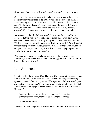simply say, "In the name of Jesus Christ of Nazareth", and you are safe.

Once I was traveling with my wife, and our vehicle was involved in an accident that was intended to be fatal. It was like the forces of darkness were hovering around us. When our driver hit whatever object he hit, and I said, "In the name of Jesus." I said it just once. My wife said, "In Jesus name, in Jesus name." I turned to her and said humorously, "Once is enough." When I mention the name once, it answers to me instantly.

As soon as I declared, "In Jesus name", I knew that the end had been decided, that the vehicle was not going to crash, that I would not have a scratch on my body or on the body of anyone that was traveling with me. While the accident was still in progress, I said to my wife, "We will not hit that concrete pavement." And just about six inches to the pavement, the car stopped. I decree peace to every storm that has been raging in your life, family, business, and mind, in Jesus' name.

Whatever has a name has no choice but bows to the name of Jesus. Therefore, whatever has a name and is upsetting your life, I command it to bow, in the name of Jesus!

#### <span id="page-36-0"></span>It Is Anointed

Christ is called the anointed One. The name Christ means the anointed One. So when you say, "In the name of Jesus", you are invoking the anointing upon the anointed One into operation. When you say, "In Jesus name", you are in other words saying, "My anointing may not be able to carry this, but I invoke the anointing upon the anointed One into this situation by invoking His name."

Because of the savour of thy good ointments thy name is as ointment poured forth, therefore do the virgins love thee.

- Songs Of Solomon 1:3

The name of the Bridegroom is as the ointment poured forth, therefore do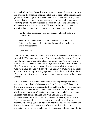the virgins love thee. Every time you invoke the name of Jesus in faith, you are bringing the anointing of the anointed One to bear on the situation. And you know that God gave Him the Holy Ghost without measure. So, when you use that name, you are operating under an immeasurable anointing. Your cup overflows as you engage the name in battle. The anointing on Christ comes on the scene, because His name is like pouring out the anointing that is upon Him. His name is as ointment poured forth.

For the Father judgeth no man, but hath committed all judgment unto the Son:

That all men should honour the Son, even as they honour the Father. He that honoureth not the Son honoureth not the Father which hath sent him.

- John 5:22-23

That means only what will refuse God, will refuse the name of Jesus when you call it. Whatever cannot resist God cannot resist the name of Jesus. It was the name that brought Goliath down. David said, "You come to me with a spear and a sword, but I come to you in the name of the Lord God of Host." I want you to use the name of Jesus against whatever represents a Goliath in your life. You will say, "I come against you Goliath in the name of Jesus Christ. Today I'm bringing down your head for the fowls of the air. I'm getting free from every entanglement and embarrassment, in the name of Jesus!"

So, the name of Jesus is not a mere conjunction in prayer; it is a rod of authority in the school of signs and wonders. It is your staff of authority. So, when you to pray, you breathe faith in, and bring the worth of that name to bear on the situation. When you invoke the name, the gift of God that challenges the integrity of the giver goes into action, and God cannot deny Himself. Also, the anointing of Christ the anointed One is on it, so whatever cannot withstand Him, cannot stand the authority in His name. You then see yourself as Christ standing in human form, and you see Christ reaching out through you to bring out the captives. You breathe faith in, and breathe the name out. "In the name of Jesus!" With that depth of understanding, signs and wonders erupt, oppositions fall apart, and liberty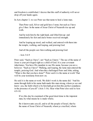and freedom is established. I decree that this staff of authority will never drop off your hands again.

In Acts chapter 3, we see Peter use that name to heal a lame man.

Then Peter said, Silver and gold have I none; but such as I have give I thee: In the name of Jesus Christ of Nazareth rise up and walk.

And he took him by the right hand, and lifted him up: and immediately his feet and ancle bones received strength.

And he leaping up stood, and walked, and entered with them into the temple, walking, and leaping, and praising God.

And all the people saw him walking and praising God:

- Acts 3:6-9

Peter said, "Such as I have", not "Such as I know." The use of the name of Jesus is your privileged right as a child of God. It is your covenant inheritance. You have His mandate to use His name, because you are a believer. "Such as I have!" Walking, and leaping, the lame man entered the temple, praising God. And when they challenged Peter and John, asking, "What is this that you have done?" Peter said it is the name at work! That will be your testimony from now on.

He said it is the name at work. We didn't work it; the name did. "And his name through faith in his name hath made this man strong, whom ye see and know: yea, the faith which is by him hath given him this perfect soundness in the presence of you all" (Acts 3:16). Hear what Peter also said in Acts  $4:9-10$ :

If we this day be examined of the good deed done to the impotent man, by what means he is made whole;

Be it known unto you all, and to all the people of Israel, that by the name of Jesus Christ of Nazareth, whom ye crucified, whom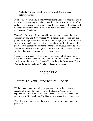God raised from the dead, even by him doth this man stand here before you whole.

Peter said, "We want you to know that the name made it to happen. Faith in the name is the mystery behind this miracle." The name took control of the early Church; the name is regaining control now. The council met and said you must not teach or speak in this name again. The name was a problem to the kingdom of darkness.

Thank God for the freedom of worship we have today, so use the name. Use it every day; use it everywhere. Use it against every opposition, and people will begin to see what the name is working in your life. Every time you are in a vehicle, and it is trying to misbehave, heading for an accident, put it back on course with the name. "In the name of Jesus, peace be still." Every time sickness threatens your home, arrest it with the name, because whatever has a name answers to the name of Jesus.

The name is a wonder working force. That name is full of wonders. And when the name is invoked in faith, wonders flow like a river. Thank Him for the gift of the name. "Lord, thank You for the gift of Your name. Thank You for the staff of authority You have placed in my hand."

# Chapter FIVE

#### <span id="page-39-1"></span><span id="page-39-0"></span>Return To Your Supernatural Roots!

I'd like you to know that living a supernatural life is the only way to recapture the glory that was lost in the first Adam. Adam was a supernatural being in the garden until sin came, and he descended to the natural realm. But the glory of God is only guaranteed in the supernatural.

When Jesus was coming into the world, the Bible said concerning Him in prophecy: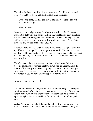Therefore the Lord himself shall give you a sign; Behold, a virgin shall conceive, and bear a son, and shall call his name Immanuel.

Butter and honey shall he eat, that he may know to refuse the evil, and choose the good.

- Isaiah 7:14-15

Jesus was born a sign. Among the signs that was listed that He would manifest is that butter and honey shall He eat, that He may know to refuse the evil and choose the good. That means He will not suffer any lack; He will be in command. And hear what Jesus said about you: "As my Father" hath sent me, even so send I you" (Jn. 20:21).

Friend, you are here as a sign! You are in this world as a sign. New birth qualifies you as a sign. You are a sign to your world. That means you are not designed to live a natural life. The ministry I am privileged to run is not a natural ministry, and everybody knows it, as it is not operating in the natural sphere.

The Church of Christ is a supernatural body of believers. When you become conscious of your supernatural status, you gain command of the affairs of life, and you enjoy God's glory. "The Lord Himself shall give you a sign." You are given as a sign to your world; therefore, things must not happen to you the same way it happens to natural men.

#### <span id="page-40-0"></span>Know Who You Are!

Your consciousness of who you are  $-$  a supernatural being  $-$  is what puts you in command of situations and circumstances around you. You are no longer just a human being after you got born again; you have become a spirit being inside a human vehicle, for that which is born of the Spirit is spirit.

Just as Adam still had a body before the fall, as it was his spirit which died that brought him down to the natural realm, so you have a body like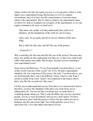Adam's before the fall; but inside you now is a living spirit, which is what makes you a supernatural being. But because we live in a natural environment, most of us have lost the consciousness of our true status, which is the supernatural. But it's time to return to our supernatural status in Christ! It's time to recapture our lost glory of the supernatural, so we can regain command in all areas we had lost it.

They know not, neither will they understand; they walk on in darkness: all the foundations of the earth are out of course.

I have said, Ye are gods; and all of you are children of the most High.

But ye shall die like men, and fall like one of the princes.

- Psalm 82:5-7

Why would they die like men and fall like one of the princes? Because they know not, neither do they understand who they are, so they lose control and suffer what natural men suffer. But no more, because you are returning to your supernatural roots!

Jesus said to the Pharisees, "Ye are from beneath; I am from above: ye are of this world; I am not of this world" (Jn. 8:23). He had a supernatural mentality, He was conscious of His source. He said, "I am from above, you are from beneath, that's why I am different. I know where I come from; I am not in doubt of my roots. I know I am connected to the Source above, that's why My life on earth isn't like yours."

I'd like you to understand that you are from above on a mission here below, therefore, you have the immunity of the place you come from, just as ambassadors do. You are not like everybody here on earth; there is something unique about you. That is why the Bible says you are a peculiar people, you are a royal priesthood, and you are a holy nation. You have been chosen to show forth the praises of Him who has called you out of darkness into His marvelous light. New birth qualifies you to live a marvelous life, a live that makes men marvel at you.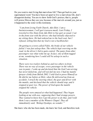Do you want to start living that marvelous life? Then get back to your supernatural roots! You have been set apart to live a marvelous life, don't disappoint destiny. You are to show forth God's praises; that is, people will praise Him as they see you, because of the marvels around you, just as it happened to the sister in this testimony.

*"I am from Living Faith Church, Ado-Ekiti. I am a businesswoman; I sell gari (cassava meal). Last Friday, I traveled to Oyo State from Ado Ekiti to buy gari as usual. I sat in the front seat with the driver, who had initially objected to my sitting there. He had ordered me to the back seat, but I refused, telling him that my God is not a backbencher.*

*On getting to a town called Fiditi, the brake of our vehicle failed. I was fast asleep then. The vehicle kept swerving on the road, in the driver's bid to gain control. The panic from other passengers was what woke me up. In fact, one of them tugged at me, wondering how I could still be asleep in such a situation.*

*There were two trailers behind us and two others in front. There was no way of escape; every passenger in the vehicle was in panic. I woke up and declared that the God I am serving has never failed me, and will not fail me now. I had my mantle (prayer cloth) from Shiloh 2002. I told God to prove Himself as He did for me before at Ekiti, when He delivered me from an accident. I struck the steering wheel, the gear and driver with the mantle, and declared that the vehicle should stop, and it stopped at gear two. The power of God upon the mantle stopped the vehicle.*

*The people were amazed at what had happened. They began looking at me with awe, supposing that I had strange powers. They wanted to know how I got the power to do that, and I told them I was a member of the Winners Chapel. They all immediately said, 'Bishop Oyedepo, no wonder.'"*

She knew who she has been made, she knew her God, and therefore took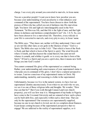charge. I see every pity around you converted to marvels, in Jesus name.

You are a peculiar people! I want you to know how peculiar you are, because your understanding of your peculiarity is what enhances your command of the supernatural. You have been chosen to show forth the praises of Him who has called you out of darkness into His marvelous light. You know life and light are interchangeably used in the New Testament. "In Him was life, and that life is the light of men, and that light shines in darkness and darkness comprehended it not" (Jn. 1:4-5). So, you have been chosen to live a marvelous life. Therefore, every ridicule in your life is converted to marvels, and every pity to envy, in Jesus' name.

The Bible says, "They know not, neither will they understand. I have said ye are not like other men; ye are gods in the likeness of men." God is a Spirit. The Bible also says in John 3:6,8: "That which is born of the flesh is flesh; and that which is born of the Spirit is spirit. The wind bloweth where it listeth, and thou hearest the sound thereof, but canst not tell whence it cometh, and whither it goeth: so is every one that is born of the Spirit." If God is a Spirit and you are a spirit also, then it means new birth brings you into God's realm!

You cannot command His glory of the supernatural as a natural being. Rather, your understanding and consciousness of your supernatural status is what puts you in command of His glory. I don't have a natural perspective to issues. I am too conscious of my supernatural status in Christ. My understanding, mentality, and reasoning is clothe in the supernatural.

Unfortunately, because we live in the natural system, we have lost our supernatural identity unconsciously. Even when we are told who we are, we see it as one of those religious talks and thoughts. We wonder, "How true can that be?" But if you walk through Canaan Land (our church property), you will see how true it is. Management of top banks in Nigeria have come to the Covenant University and are amazed at how such a place can be built debt-free, and especially within such a short time. That can only be the supernatural! Our resources are supernaturally supplied, because no one in our church is levied, nor do we complain about finances. It just keeps coming because of the supernatural perspective that we engage! We are addicted to the reality of supernatural supplies, so it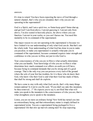answers.

It's time to return! You have been expecting the move of God through a natural channel, that's why you are stranded, that's why you are not operating in the supernatural!

God is a Spirit, and I am a spirit too, so Satan keep quiet! Satan shut up, and get lost! I am from above, I am not guessing it. I am not only from above, I'm also seated in heavenly places, far above where you can function. I am not in your realm, so you can't harass me. You need this mentality to be in command of the supernatural.

One major reason we are not operating in the supernatural is because we have limited it to our understanding of only what God can do. But that's not the whole truth. Your understanding of what God has done in you to make you peculiar, to make you supernatural is actually what puts you in command of the supernatural, because command requires inner strength and confidence in who you are in Him, not just in who God is.

Your consciousness of who you are in Him is what actually determines what you can handle. Your knowledge of who you are in Him is what determines how much command over affairs on earth you will have, because being in command demands that you be strong and of a good courage. That is the only way you can possess every inch of the ground where the sole of your feet has trodden, for it is those who do know their God, who know who their God is and what their God has made of them, that shall be strong and shall do exploits.

We have come to stay with only what God can do, that's why many things remain undone! Is it not to you He said, "If you shall say unto this mountain, be thou removed…?" He expects you to say it, not Him! But what will make you speak to the mountain is the consciousness of who you are; that is what strengthens you to speak to the mountain.

Listen, you are no more an ordinary being! New birth has turned you into an extraordinary being, and that extraordinary status is simply defined in supernatural terms. You are a supernatural being packaged to live a supernatural life that stirs up marvels among men! So stop expecting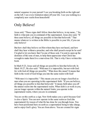natural sequence in your pursuit! I see you breaking forth on the right and on the left. I see every limitation taken off your life. I see you walking in a completely new realm from henceforth!

### <span id="page-45-0"></span>Only Believe!

Jesus said, "These signs shall follow them that believe, in my name..." So, faith is what puts you in command of the supernatural. Jesus also said, "If thou canst believe, all things are possible to him that believeth." That means whatever is written in the Bible is possible in your life, if you can only believe!

But how shall they believe on Him whom they have not heard, and how shall they hear without a preacher, and who shall preach except he be sent? I'm glad to let you know that I'm one of those sent. I'm sent to open up the destinies of the sons of men, to help them appreciate what Christ has wrought to make them live a marvelous life. That is why I have written this book.

In Mark 9:23, Jesus said all things are possible to him that believeth. In Mark 10:27, He also said: "With men it is impossible, but not with God: for with God all things are possible." What does this mean? It means that faith in the word of God brings you into the same realm with God!

"With men it is impossible." This means you are no longer classified as men when you are operating in this supernatural faith. "If you can believe, all things are possible to him that believeth." It means faith takes you off the natural realm into the supernatural realm. When faith is at work in you, you no longer operate within the natural limits; you operate in the supernatural realm, where you are in command.

You are on this earth as a sign. New birth makes you a spirit because God is also a Spirit. You can now operate in the same realm as God (the supernatural) by reason of what He has done for you through Jesus. You have been positioned here on earth as a supernatural being to take charge, and to enjoy God's glory. You are from above. You are created for signs